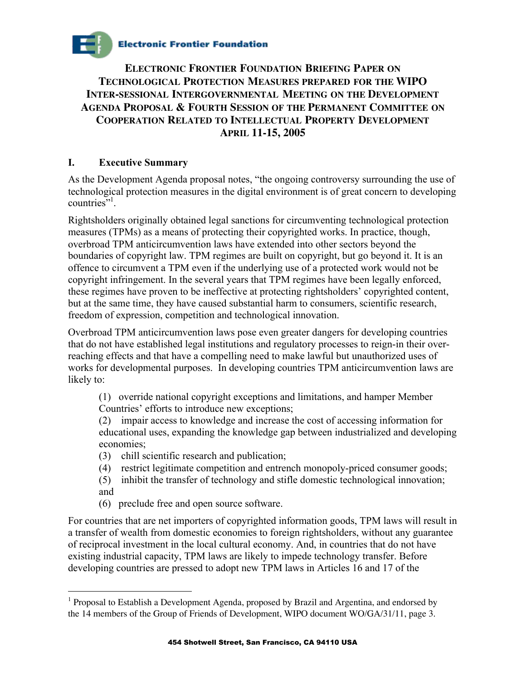# **Electronic Frontier Foundation**

**ELECTRONIC FRONTIER FOUNDATION BRIEFING PAPER ON TECHNOLOGICAL PROTECTION MEASURES PREPARED FOR THE WIPO INTER-SESSIONAL INTERGOVERNMENTAL MEETING ON THE DEVELOPMENT AGENDA PROPOSAL & FOURTH SESSION OF THE PERMANENT COMMITTEE ON COOPERATION RELATED TO INTELLECTUAL PROPERTY DEVELOPMENT APRIL 11-15, 2005**

### **I. Executive Summary**

As the Development Agenda proposal notes, "the ongoing controversy surrounding the use of technological protection measures in the digital environment is of great concern to developing  $countries$ <sup>",1</sup>.

Rightsholders originally obtained legal sanctions for circumventing technological protection measures (TPMs) as a means of protecting their copyrighted works. In practice, though, overbroad TPM anticircumvention laws have extended into other sectors beyond the boundaries of copyright law. TPM regimes are built on copyright, but go beyond it. It is an offence to circumvent a TPM even if the underlying use of a protected work would not be copyright infringement. In the several years that TPM regimes have been legally enforced, these regimes have proven to be ineffective at protecting rightsholders' copyrighted content, but at the same time, they have caused substantial harm to consumers, scientific research, freedom of expression, competition and technological innovation.

Overbroad TPM anticircumvention laws pose even greater dangers for developing countries that do not have established legal institutions and regulatory processes to reign-in their overreaching effects and that have a compelling need to make lawful but unauthorized uses of works for developmental purposes. In developing countries TPM anticircumvention laws are likely to:

(1) override national copyright exceptions and limitations, and hamper Member Countries' efforts to introduce new exceptions;

(2) impair access to knowledge and increase the cost of accessing information for educational uses, expanding the knowledge gap between industrialized and developing economies;

- (3) chill scientific research and publication;
- (4) restrict legitimate competition and entrench monopoly-priced consumer goods;
- (5) inhibit the transfer of technology and stifle domestic technological innovation; and
- (6) preclude free and open source software.

 $\overline{a}$ 

For countries that are net importers of copyrighted information goods, TPM laws will result in a transfer of wealth from domestic economies to foreign rightsholders, without any guarantee of reciprocal investment in the local cultural economy. And, in countries that do not have existing industrial capacity, TPM laws are likely to impede technology transfer. Before developing countries are pressed to adopt new TPM laws in Articles 16 and 17 of the

<sup>&</sup>lt;sup>1</sup> Proposal to Establish a Development Agenda, proposed by Brazil and Argentina, and endorsed by the 14 members of the Group of Friends of Development, WIPO document WO/GA/31/11, page 3.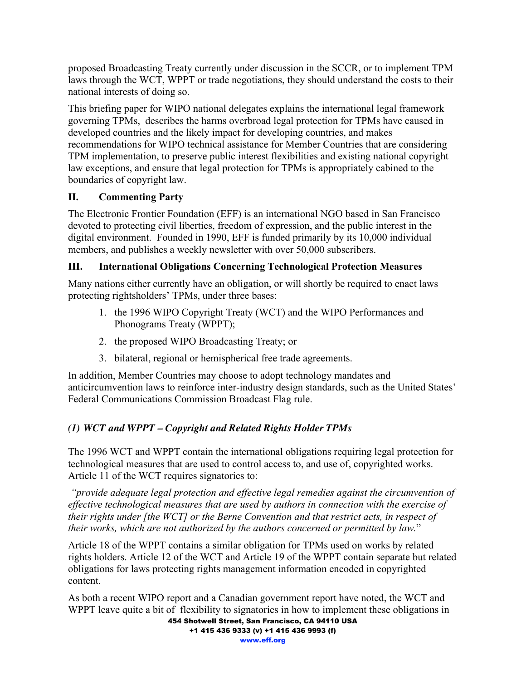proposed Broadcasting Treaty currently under discussion in the SCCR, or to implement TPM laws through the WCT, WPPT or trade negotiations, they should understand the costs to their national interests of doing so.

This briefing paper for WIPO national delegates explains the international legal framework governing TPMs, describes the harms overbroad legal protection for TPMs have caused in developed countries and the likely impact for developing countries, and makes recommendations for WIPO technical assistance for Member Countries that are considering TPM implementation, to preserve public interest flexibilities and existing national copyright law exceptions, and ensure that legal protection for TPMs is appropriately cabined to the boundaries of copyright law.

## **II. Commenting Party**

The Electronic Frontier Foundation (EFF) is an international NGO based in San Francisco devoted to protecting civil liberties, freedom of expression, and the public interest in the digital environment. Founded in 1990, EFF is funded primarily by its 10,000 individual members, and publishes a weekly newsletter with over 50,000 subscribers.

## **III. International Obligations Concerning Technological Protection Measures**

Many nations either currently have an obligation, or will shortly be required to enact laws protecting rightsholders' TPMs, under three bases:

- 1. the 1996 WIPO Copyright Treaty (WCT) and the WIPO Performances and Phonograms Treaty (WPPT);
- 2. the proposed WIPO Broadcasting Treaty; or
- 3. bilateral, regional or hemispherical free trade agreements.

In addition, Member Countries may choose to adopt technology mandates and anticircumvention laws to reinforce inter-industry design standards, such as the United States' Federal Communications Commission Broadcast Flag rule.

## *(1) WCT and WPPT – Copyright and Related Rights Holder TPMs*

The 1996 WCT and WPPT contain the international obligations requiring legal protection for technological measures that are used to control access to, and use of, copyrighted works. Article 11 of the WCT requires signatories to:

*"provide adequate legal protection and effective legal remedies against the circumvention of effective technological measures that are used by authors in connection with the exercise of their rights under [the WCT] or the Berne Convention and that restrict acts, in respect of their works, which are not authorized by the authors concerned or permitted by law.*"

Article 18 of the WPPT contains a similar obligation for TPMs used on works by related rights holders. Article 12 of the WCT and Article 19 of the WPPT contain separate but related obligations for laws protecting rights management information encoded in copyrighted content.

As both a recent WIPO report and a Canadian government report have noted, the WCT and WPPT leave quite a bit of flexibility to signatories in how to implement these obligations in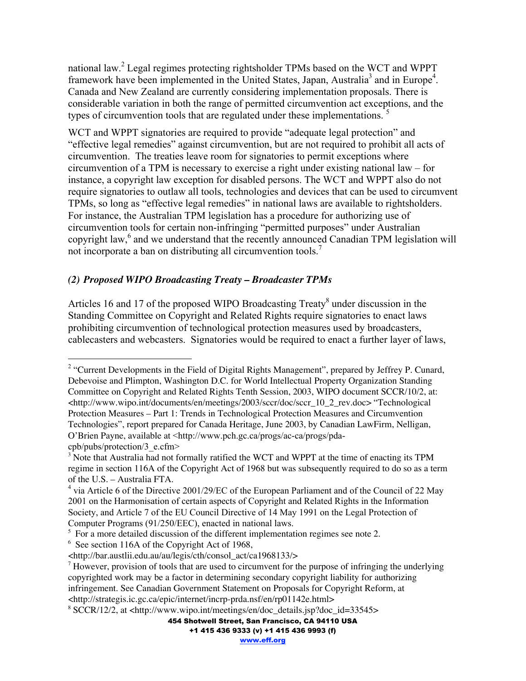national law.<sup>2</sup> Legal regimes protecting rightsholder TPMs based on the WCT and WPPT framework have been implemented in the United States, Japan, Australia<sup>3</sup> and in Europe<sup>4</sup>. Canada and New Zealand are currently considering implementation proposals. There is considerable variation in both the range of permitted circumvention act exceptions, and the types of circumvention tools that are regulated under these implementations.<sup>5</sup>

WCT and WPPT signatories are required to provide "adequate legal protection" and "effective legal remedies" against circumvention, but are not required to prohibit all acts of circumvention. The treaties leave room for signatories to permit exceptions where circumvention of a TPM is necessary to exercise a right under existing national law – for instance, a copyright law exception for disabled persons. The WCT and WPPT also do not require signatories to outlaw all tools, technologies and devices that can be used to circumvent TPMs, so long as "effective legal remedies" in national laws are available to rightsholders. For instance, the Australian TPM legislation has a procedure for authorizing use of circumvention tools for certain non-infringing "permitted purposes" under Australian copyright law,<sup>6</sup> and we understand that the recently announced Canadian TPM legislation will not incorporate a ban on distributing all circumvention tools.<sup>7</sup>

#### *(2) Proposed WIPO Broadcasting Treaty – Broadcaster TPMs*

Articles 16 and 17 of the proposed WIPO Broadcasting Treaty<sup>8</sup> under discussion in the Standing Committee on Copyright and Related Rights require signatories to enact laws prohibiting circumvention of technological protection measures used by broadcasters, cablecasters and webcasters. Signatories would be required to enact a further layer of laws,

<sup>&</sup>lt;sup>2</sup> "Current Developments in the Field of Digital Rights Management", prepared by Jeffrey P. Cunard, Debevoise and Plimpton, Washington D.C. for World Intellectual Property Organization Standing Committee on Copyright and Related Rights Tenth Session, 2003, WIPO document SCCR/10/2, at: <http://www.wipo.int/documents/en/meetings/2003/sccr/doc/sccr\_10\_2\_rev.doc> "Technological Protection Measures – Part 1: Trends in Technological Protection Measures and Circumvention Technologies", report prepared for Canada Heritage, June 2003, by Canadian LawFirm, Nelligan, O'Brien Payne, available at <http://www.pch.gc.ca/progs/ac-ca/progs/pda-

cpb/pubs/protection/3\_e.cfm>

 $3$  Note that Australia had not formally ratified the WCT and WPPT at the time of enacting its TPM regime in section 116A of the Copyright Act of 1968 but was subsequently required to do so as a term of the U.S. – Australia FTA.

<sup>&</sup>lt;sup>4</sup> via Article 6 of the Directive 2001/29/EC of the European Parliament and of the Council of 22 May 2001 on the Harmonisation of certain aspects of Copyright and Related Rights in the Information Society, and Article 7 of the EU Council Directive of 14 May 1991 on the Legal Protection of Computer Programs (91/250/EEC), enacted in national laws.

 $5$  For a more detailed discussion of the different implementation regimes see note 2.

<sup>&</sup>lt;sup>6</sup> See section 116A of the Copyright Act of 1968,

<sup>&</sup>lt;http://bar.austlii.edu.au/au/legis/cth/consol\_act/ca1968133/>

 $<sup>7</sup>$  However, provision of tools that are used to circumvent for the purpose of infringing the underlying</sup> copyrighted work may be a factor in determining secondary copyright liability for authorizing infringement. See Canadian Government Statement on Proposals for Copyright Reform, at <http://strategis.ic.gc.ca/epic/internet/incrp-prda.nsf/en/rp01142e.html>

<sup>8</sup> SCCR/12/2, at <http://www.wipo.int/meetings/en/doc\_details.jsp?doc\_id=33545>

<sup>454</sup> Shotwell Street, San Francisco, CA 94110 USA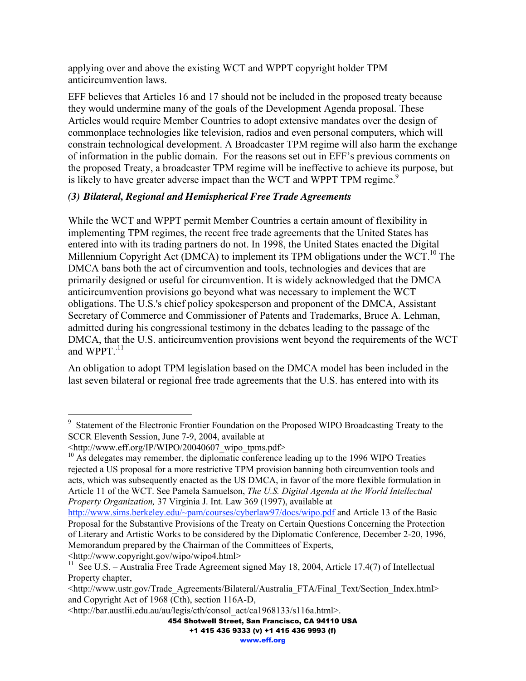applying over and above the existing WCT and WPPT copyright holder TPM anticircumvention laws.

EFF believes that Articles 16 and 17 should not be included in the proposed treaty because they would undermine many of the goals of the Development Agenda proposal. These Articles would require Member Countries to adopt extensive mandates over the design of commonplace technologies like television, radios and even personal computers, which will constrain technological development. A Broadcaster TPM regime will also harm the exchange of information in the public domain. For the reasons set out in EFF's previous comments on the proposed Treaty, a broadcaster TPM regime will be ineffective to achieve its purpose, but is likely to have greater adverse impact than the WCT and WPPT TPM regime.<sup>9</sup>

#### *(3) Bilateral, Regional and Hemispherical Free Trade Agreements*

While the WCT and WPPT permit Member Countries a certain amount of flexibility in implementing TPM regimes, the recent free trade agreements that the United States has entered into with its trading partners do not. In 1998, the United States enacted the Digital Millennium Copyright Act (DMCA) to implement its TPM obligations under the WCT.<sup>10</sup> The DMCA bans both the act of circumvention and tools, technologies and devices that are primarily designed or useful for circumvention. It is widely acknowledged that the DMCA anticircumvention provisions go beyond what was necessary to implement the WCT obligations. The U.S.'s chief policy spokesperson and proponent of the DMCA, Assistant Secretary of Commerce and Commissioner of Patents and Trademarks, Bruce A. Lehman, admitted during his congressional testimony in the debates leading to the passage of the DMCA, that the U.S. anticircumvention provisions went beyond the requirements of the WCT and WPPT.<sup>11</sup>

An obligation to adopt TPM legislation based on the DMCA model has been included in the last seven bilateral or regional free trade agreements that the U.S. has entered into with its

<http://www.copyright.gov/wipo/wipo4.html>

<sup>9</sup> Statement of the Electronic Frontier Foundation on the Proposed WIPO Broadcasting Treaty to the SCCR Eleventh Session, June 7-9, 2004, available at

 $\langle \text{http://www.eff.org/IP/WIFO/20040607}$  wipo\_tpms.pdf>

<sup>&</sup>lt;sup>10</sup> As delegates may remember, the diplomatic conference leading up to the 1996 WIPO Treaties rejected a US proposal for a more restrictive TPM provision banning both circumvention tools and acts, which was subsequently enacted as the US DMCA, in favor of the more flexible formulation in Article 11 of the WCT. See Pamela Samuelson, *The U.S. Digital Agenda at the World Intellectual Property Organization,* 37 Virginia J. Int. Law 369 (1997), available at

http://www.sims.berkeley.edu/~pam/courses/cyberlaw97/docs/wipo.pdf and Article 13 of the Basic Proposal for the Substantive Provisions of the Treaty on Certain Questions Concerning the Protection of Literary and Artistic Works to be considered by the Diplomatic Conference, December 2-20, 1996, Memorandum prepared by the Chairman of the Committees of Experts,

<sup>&</sup>lt;sup>11</sup> See U.S. – Australia Free Trade Agreement signed May 18, 2004, Article 17.4(7) of Intellectual Property chapter,

<sup>&</sup>lt;http://www.ustr.gov/Trade\_Agreements/Bilateral/Australia\_FTA/Final\_Text/Section\_Index.html> and Copyright Act of 1968 (Cth), section 116A-D,

<sup>&</sup>lt;http://bar.austlii.edu.au/au/legis/cth/consol\_act/ca1968133/s116a.html>.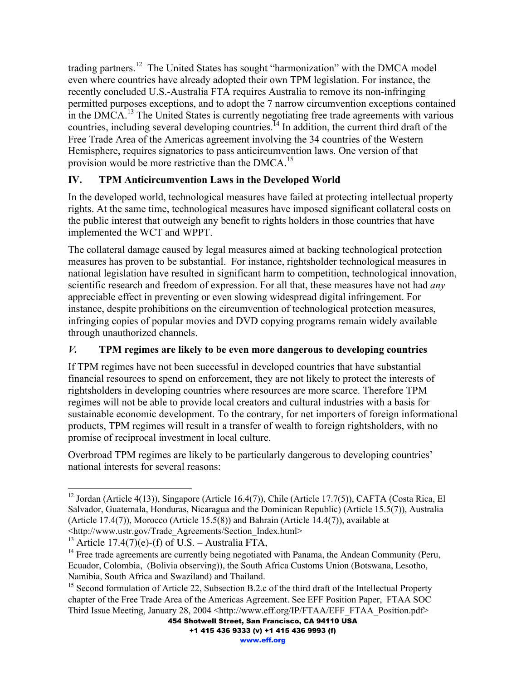trading partners.<sup>12</sup> The United States has sought "harmonization" with the DMCA model even where countries have already adopted their own TPM legislation. For instance, the recently concluded U.S.-Australia FTA requires Australia to remove its non-infringing permitted purposes exceptions, and to adopt the 7 narrow circumvention exceptions contained in the DMCA.<sup>13</sup> The United States is currently negotiating free trade agreements with various countries, including several developing countries.<sup>14</sup> In addition, the current third draft of the Free Trade Area of the Americas agreement involving the 34 countries of the Western Hemisphere, requires signatories to pass anticircumvention laws. One version of that provision would be more restrictive than the DMCA.<sup>15</sup>

## **IV. TPM Anticircumvention Laws in the Developed World**

In the developed world, technological measures have failed at protecting intellectual property rights. At the same time, technological measures have imposed significant collateral costs on the public interest that outweigh any benefit to rights holders in those countries that have implemented the WCT and WPPT.

The collateral damage caused by legal measures aimed at backing technological protection measures has proven to be substantial. For instance, rightsholder technological measures in national legislation have resulted in significant harm to competition, technological innovation, scientific research and freedom of expression. For all that, these measures have not had *any* appreciable effect in preventing or even slowing widespread digital infringement. For instance, despite prohibitions on the circumvention of technological protection measures, infringing copies of popular movies and DVD copying programs remain widely available through unauthorized channels.

## *V.* **TPM regimes are likely to be even more dangerous to developing countries**

If TPM regimes have not been successful in developed countries that have substantial financial resources to spend on enforcement, they are not likely to protect the interests of rightsholders in developing countries where resources are more scarce. Therefore TPM regimes will not be able to provide local creators and cultural industries with a basis for sustainable economic development. To the contrary, for net importers of foreign informational products, TPM regimes will result in a transfer of wealth to foreign rightsholders, with no promise of reciprocal investment in local culture.

Overbroad TPM regimes are likely to be particularly dangerous to developing countries' national interests for several reasons:

 <sup>12</sup> Jordan (Article 4(13)), Singapore (Article 16.4(7)), Chile (Article 17.7(5)), CAFTA (Costa Rica, El Salvador, Guatemala, Honduras, Nicaragua and the Dominican Republic) (Article 15.5(7)), Australia (Article 17.4(7)), Morocco (Article 15.5(8)) and Bahrain (Article 14.4(7)), available at <http://www.ustr.gov/Trade\_Agreements/Section\_Index.html>

<sup>&</sup>lt;sup>13</sup> Article 17.4(7)(e)-(f) of U.S. – Australia FTA,

<sup>&</sup>lt;sup>14</sup> Free trade agreements are currently being negotiated with Panama, the Andean Community (Peru, Ecuador, Colombia, (Bolivia observing)), the South Africa Customs Union (Botswana, Lesotho, Namibia, South Africa and Swaziland) and Thailand.

<sup>&</sup>lt;sup>15</sup> Second formulation of Article 22, Subsection B.2.c of the third draft of the Intellectual Property chapter of the Free Trade Area of the Americas Agreement. See EFF Position Paper, FTAA SOC Third Issue Meeting, January 28, 2004 <http://www.eff.org/IP/FTAA/EFF\_FTAA\_Position.pdf>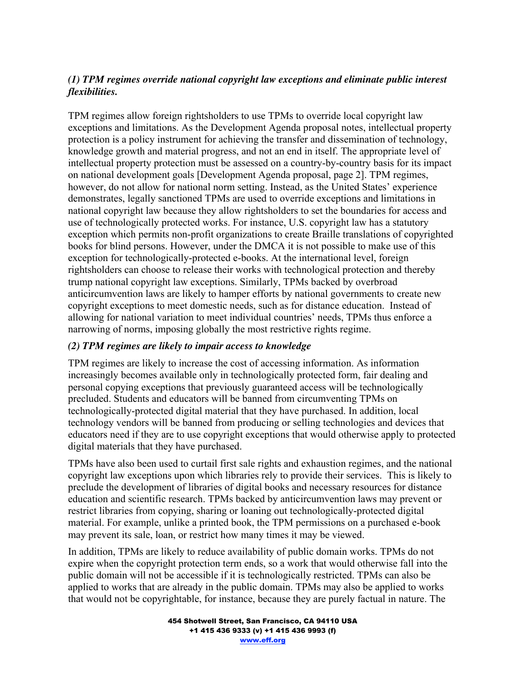#### *(1) TPM regimes override national copyright law exceptions and eliminate public interest flexibilities.*

TPM regimes allow foreign rightsholders to use TPMs to override local copyright law exceptions and limitations. As the Development Agenda proposal notes, intellectual property protection is a policy instrument for achieving the transfer and dissemination of technology, knowledge growth and material progress, and not an end in itself. The appropriate level of intellectual property protection must be assessed on a country-by-country basis for its impact on national development goals [Development Agenda proposal, page 2]. TPM regimes, however, do not allow for national norm setting. Instead, as the United States' experience demonstrates, legally sanctioned TPMs are used to override exceptions and limitations in national copyright law because they allow rightsholders to set the boundaries for access and use of technologically protected works. For instance, U.S. copyright law has a statutory exception which permits non-profit organizations to create Braille translations of copyrighted books for blind persons. However, under the DMCA it is not possible to make use of this exception for technologically-protected e-books. At the international level, foreign rightsholders can choose to release their works with technological protection and thereby trump national copyright law exceptions. Similarly, TPMs backed by overbroad anticircumvention laws are likely to hamper efforts by national governments to create new copyright exceptions to meet domestic needs, such as for distance education. Instead of allowing for national variation to meet individual countries' needs, TPMs thus enforce a narrowing of norms, imposing globally the most restrictive rights regime.

#### *(2) TPM regimes are likely to impair access to knowledge*

TPM regimes are likely to increase the cost of accessing information. As information increasingly becomes available only in technologically protected form, fair dealing and personal copying exceptions that previously guaranteed access will be technologically precluded. Students and educators will be banned from circumventing TPMs on technologically-protected digital material that they have purchased. In addition, local technology vendors will be banned from producing or selling technologies and devices that educators need if they are to use copyright exceptions that would otherwise apply to protected digital materials that they have purchased.

TPMs have also been used to curtail first sale rights and exhaustion regimes, and the national copyright law exceptions upon which libraries rely to provide their services. This is likely to preclude the development of libraries of digital books and necessary resources for distance education and scientific research. TPMs backed by anticircumvention laws may prevent or restrict libraries from copying, sharing or loaning out technologically-protected digital material. For example, unlike a printed book, the TPM permissions on a purchased e-book may prevent its sale, loan, or restrict how many times it may be viewed.

In addition, TPMs are likely to reduce availability of public domain works. TPMs do not expire when the copyright protection term ends, so a work that would otherwise fall into the public domain will not be accessible if it is technologically restricted. TPMs can also be applied to works that are already in the public domain. TPMs may also be applied to works that would not be copyrightable, for instance, because they are purely factual in nature. The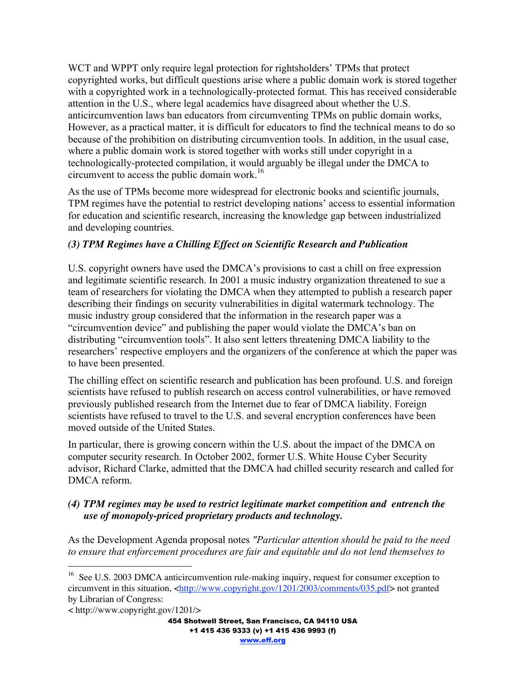WCT and WPPT only require legal protection for rightsholders' TPMs that protect copyrighted works, but difficult questions arise where a public domain work is stored together with a copyrighted work in a technologically-protected format. This has received considerable attention in the U.S., where legal academics have disagreed about whether the U.S. anticircumvention laws ban educators from circumventing TPMs on public domain works, However, as a practical matter, it is difficult for educators to find the technical means to do so because of the prohibition on distributing circumvention tools. In addition, in the usual case, where a public domain work is stored together with works still under copyright in a technologically-protected compilation, it would arguably be illegal under the DMCA to circumvent to access the public domain work.<sup>16</sup>

As the use of TPMs become more widespread for electronic books and scientific journals, TPM regimes have the potential to restrict developing nations' access to essential information for education and scientific research, increasing the knowledge gap between industrialized and developing countries.

#### *(3) TPM Regimes have a Chilling Effect on Scientific Research and Publication*

U.S. copyright owners have used the DMCA's provisions to cast a chill on free expression and legitimate scientific research. In 2001 a music industry organization threatened to sue a team of researchers for violating the DMCA when they attempted to publish a research paper describing their findings on security vulnerabilities in digital watermark technology. The music industry group considered that the information in the research paper was a "circumvention device" and publishing the paper would violate the DMCA's ban on distributing "circumvention tools". It also sent letters threatening DMCA liability to the researchers' respective employers and the organizers of the conference at which the paper was to have been presented.

The chilling effect on scientific research and publication has been profound. U.S. and foreign scientists have refused to publish research on access control vulnerabilities, or have removed previously published research from the Internet due to fear of DMCA liability. Foreign scientists have refused to travel to the U.S. and several encryption conferences have been moved outside of the United States.

In particular, there is growing concern within the U.S. about the impact of the DMCA on computer security research. In October 2002, former U.S. White House Cyber Security advisor, Richard Clarke, admitted that the DMCA had chilled security research and called for DMCA reform.

#### *(4) TPM regimes may be used to restrict legitimate market competition and entrench the use of monopoly-priced proprietary products and technology.*

As the Development Agenda proposal notes *"Particular attention should be paid to the need to ensure that enforcement procedures are fair and equitable and do not lend themselves to*

<sup>&</sup>lt;sup>16</sup> See U.S. 2003 DMCA anticircumvention rule-making inquiry, request for consumer exception to circumvent in this situation, <http://www.copyright.gov/1201/2003/comments/035.pdf> not granted by Librarian of Congress:

<sup>&</sup>lt; http://www.copyright.gov/1201/>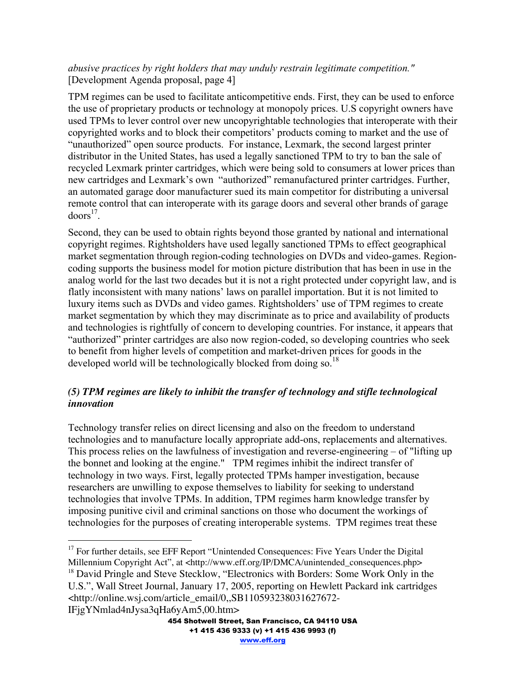#### *abusive practices by right holders that may unduly restrain legitimate competition."* [Development Agenda proposal, page 4]

TPM regimes can be used to facilitate anticompetitive ends. First, they can be used to enforce the use of proprietary products or technology at monopoly prices. U.S copyright owners have used TPMs to lever control over new uncopyrightable technologies that interoperate with their copyrighted works and to block their competitors' products coming to market and the use of "unauthorized" open source products. For instance, Lexmark, the second largest printer distributor in the United States, has used a legally sanctioned TPM to try to ban the sale of recycled Lexmark printer cartridges, which were being sold to consumers at lower prices than new cartridges and Lexmark's own "authorized" remanufactured printer cartridges. Further, an automated garage door manufacturer sued its main competitor for distributing a universal remote control that can interoperate with its garage doors and several other brands of garage  $d$ oors<sup>17</sup>.

Second, they can be used to obtain rights beyond those granted by national and international copyright regimes. Rightsholders have used legally sanctioned TPMs to effect geographical market segmentation through region-coding technologies on DVDs and video-games. Regioncoding supports the business model for motion picture distribution that has been in use in the analog world for the last two decades but it is not a right protected under copyright law, and is flatly inconsistent with many nations' laws on parallel importation. But it is not limited to luxury items such as DVDs and video games. Rightsholders' use of TPM regimes to create market segmentation by which they may discriminate as to price and availability of products and technologies is rightfully of concern to developing countries. For instance, it appears that "authorized" printer cartridges are also now region-coded, so developing countries who seek to benefit from higher levels of competition and market-driven prices for goods in the developed world will be technologically blocked from doing so.<sup>18</sup>

#### *(5) TPM regimes are likely to inhibit the transfer of technology and stifle technological innovation*

Technology transfer relies on direct licensing and also on the freedom to understand technologies and to manufacture locally appropriate add-ons, replacements and alternatives. This process relies on the lawfulness of investigation and reverse-engineering – of "lifting up the bonnet and looking at the engine." TPM regimes inhibit the indirect transfer of technology in two ways. First, legally protected TPMs hamper investigation, because researchers are unwilling to expose themselves to liability for seeking to understand technologies that involve TPMs. In addition, TPM regimes harm knowledge transfer by imposing punitive civil and criminal sanctions on those who document the workings of technologies for the purposes of creating interoperable systems. TPM regimes treat these

IFjgYNmlad4nJysa3qHa6yAm5,00.htm>

<sup>&</sup>lt;sup>17</sup> For further details, see EFF Report "Unintended Consequences: Five Years Under the Digital Millennium Copyright Act", at <http://www.eff.org/IP/DMCA/unintended\_consequences.php>

<sup>&</sup>lt;sup>18</sup> David Pringle and Steve Stecklow, "Electronics with Borders: Some Work Only in the U.S.", Wall Street Journal, January 17, 2005, reporting on Hewlett Packard ink cartridges <http://online.wsj.com/article\_email/0,,SB110593238031627672-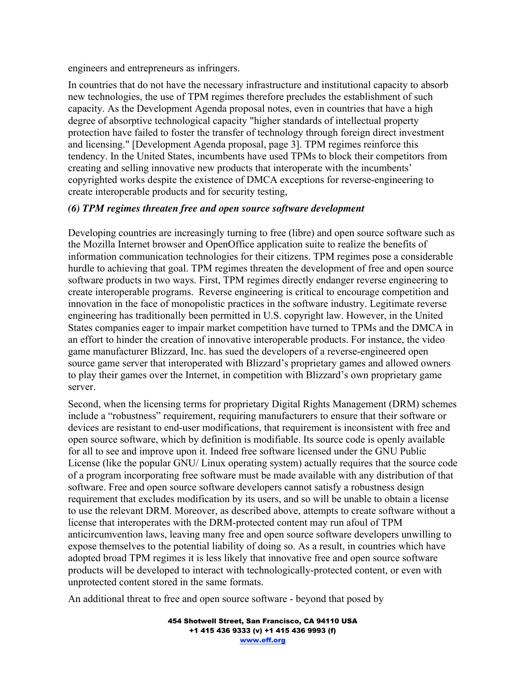engineers and entrepreneurs as infringers.

In countries that do not have the necessary infrastructure and institutional capacity to absorb new technologies, the use of TPM regimes therefore precludes the establishment of such capacity. As the Development Agenda proposal notes, even in countries that have a high degree of absorptive technological capacity "higher standards of intellectual property protection have failed to foster the transfer of technology through foreign direct investment and licensing." [Development Agenda proposal, page 3]. TPM regimes reinforce this tendency. In the United States, incumbents have used TPMs to block their competitors from creating and selling innovative new products that interoperate with the incumbents' copyrighted works despite the existence of DMCA exceptions for reverse-engineering to create interoperable products and for security testing,

#### *(6) TPM regimes threaten free and open source software development*

Developing countries are increasingly turning to free (libre) and open source software such as the Mozilla Internet browser and OpenOffice application suite to realize the benefits of information communication technologies for their citizens. TPM regimes pose a considerable hurdle to achieving that goal. TPM regimes threaten the development of free and open source software products in two ways. First, TPM regimes directly endanger reverse engineering to create interoperable programs. Reverse engineering is critical to encourage competition and innovation in the face of monopolistic practices in the software industry. Legitimate reverse engineering has traditionally been permitted in U.S. copyright law. However, in the United States companies eager to impair market competition have turned to TPMs and the DMCA in an effort to hinder the creation of innovative interoperable products. For instance, the video game manufacturer Blizzard, Inc. has sued the developers of a reverse-engineered open source game server that interoperated with Blizzard's proprietary games and allowed owners to play their games over the Internet, in competition with Blizzard's own proprietary game server.

Second, when the licensing terms for proprietary Digital Rights Management (DRM) schemes include a "robustness" requirement, requiring manufacturers to ensure that their software or devices are resistant to end-user modifications, that requirement is inconsistent with free and open source software, which by definition is modifiable. Its source code is openly available for all to see and improve upon it. Indeed free software licensed under the GNU Public License (like the popular GNU/ Linux operating system) actually requires that the source code of a program incorporating free software must be made available with any distribution of that software. Free and open source software developers cannot satisfy a robustness design requirement that excludes modification by its users, and so will be unable to obtain a license to use the relevant DRM. Moreover, as described above, attempts to create software without a license that interoperates with the DRM-protected content may run afoul of TPM anticircumvention laws, leaving many free and open source software developers unwilling to expose themselves to the potential liability of doing so. As a result, in countries which have adopted broad TPM regimes it is less likely that innovative free and open source software products will be developed to interact with technologically-protected content, or even with unprotected content stored in the same formats.

An additional threat to free and open source software - beyond that posed by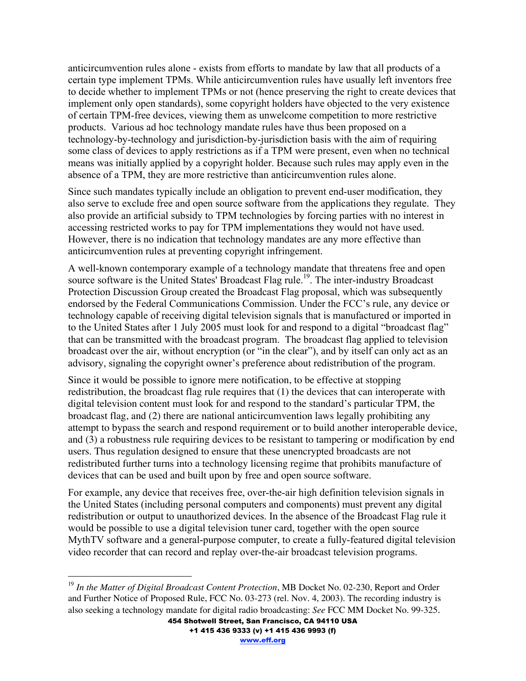anticircumvention rules alone - exists from efforts to mandate by law that all products of a certain type implement TPMs. While anticircumvention rules have usually left inventors free to decide whether to implement TPMs or not (hence preserving the right to create devices that implement only open standards), some copyright holders have objected to the very existence of certain TPM-free devices, viewing them as unwelcome competition to more restrictive products. Various ad hoc technology mandate rules have thus been proposed on a technology-by-technology and jurisdiction-by-jurisdiction basis with the aim of requiring some class of devices to apply restrictions as if a TPM were present, even when no technical means was initially applied by a copyright holder. Because such rules may apply even in the absence of a TPM, they are more restrictive than anticircumvention rules alone.

Since such mandates typically include an obligation to prevent end-user modification, they also serve to exclude free and open source software from the applications they regulate. They also provide an artificial subsidy to TPM technologies by forcing parties with no interest in accessing restricted works to pay for TPM implementations they would not have used. However, there is no indication that technology mandates are any more effective than anticircumvention rules at preventing copyright infringement.

A well-known contemporary example of a technology mandate that threatens free and open source software is the United States' Broadcast Flag rule.<sup>19</sup>. The inter-industry Broadcast Protection Discussion Group created the Broadcast Flag proposal, which was subsequently endorsed by the Federal Communications Commission. Under the FCC's rule, any device or technology capable of receiving digital television signals that is manufactured or imported in to the United States after 1 July 2005 must look for and respond to a digital "broadcast flag" that can be transmitted with the broadcast program. The broadcast flag applied to television broadcast over the air, without encryption (or "in the clear"), and by itself can only act as an advisory, signaling the copyright owner's preference about redistribution of the program.

Since it would be possible to ignore mere notification, to be effective at stopping redistribution, the broadcast flag rule requires that (1) the devices that can interoperate with digital television content must look for and respond to the standard's particular TPM, the broadcast flag, and (2) there are national anticircumvention laws legally prohibiting any attempt to bypass the search and respond requirement or to build another interoperable device, and (3) a robustness rule requiring devices to be resistant to tampering or modification by end users. Thus regulation designed to ensure that these unencrypted broadcasts are not redistributed further turns into a technology licensing regime that prohibits manufacture of devices that can be used and built upon by free and open source software.

For example, any device that receives free, over-the-air high definition television signals in the United States (including personal computers and components) must prevent any digital redistribution or output to unauthorized devices. In the absence of the Broadcast Flag rule it would be possible to use a digital television tuner card, together with the open source MythTV software and a general-purpose computer, to create a fully-featured digital television video recorder that can record and replay over-the-air broadcast television programs.

 $\overline{a}$ 

+1 415 436 9333 (v) +1 415 436 9993 (f)

www.eff.org

<sup>454</sup> Shotwell Street, San Francisco, CA 94110 USA <sup>19</sup> In the Matter of Digital Broadcast Content Protection, MB Docket No. 02-230, Report and Order and Further Notice of Proposed Rule, FCC No. 03-273 (rel. Nov. 4, 2003). The recording industry is also seeking a technology mandate for digital radio broadcasting: *See* FCC MM Docket No. 99-325.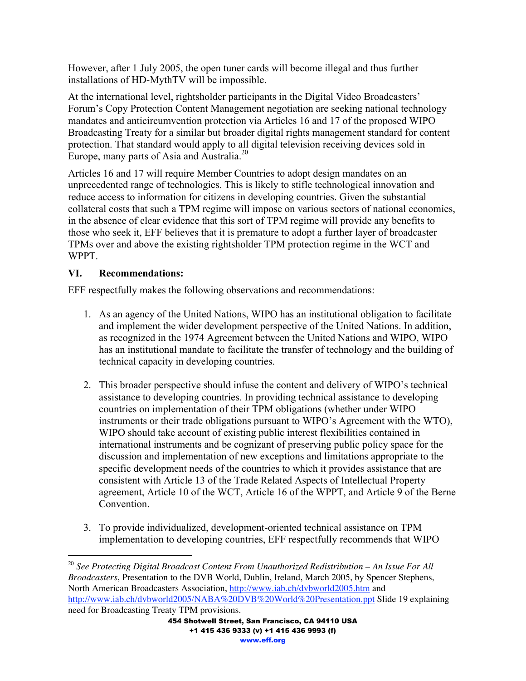However, after 1 July 2005, the open tuner cards will become illegal and thus further installations of HD-MythTV will be impossible.

At the international level, rightsholder participants in the Digital Video Broadcasters' Forum's Copy Protection Content Management negotiation are seeking national technology mandates and anticircumvention protection via Articles 16 and 17 of the proposed WIPO Broadcasting Treaty for a similar but broader digital rights management standard for content protection. That standard would apply to all digital television receiving devices sold in Europe, many parts of Asia and Australia.<sup>20</sup>

Articles 16 and 17 will require Member Countries to adopt design mandates on an unprecedented range of technologies. This is likely to stifle technological innovation and reduce access to information for citizens in developing countries. Given the substantial collateral costs that such a TPM regime will impose on various sectors of national economies, in the absence of clear evidence that this sort of TPM regime will provide any benefits to those who seek it, EFF believes that it is premature to adopt a further layer of broadcaster TPMs over and above the existing rightsholder TPM protection regime in the WCT and WPPT.

#### **VI. Recommendations:**

 $\overline{a}$ 

EFF respectfully makes the following observations and recommendations:

- 1. As an agency of the United Nations, WIPO has an institutional obligation to facilitate and implement the wider development perspective of the United Nations. In addition, as recognized in the 1974 Agreement between the United Nations and WIPO, WIPO has an institutional mandate to facilitate the transfer of technology and the building of technical capacity in developing countries.
- 2. This broader perspective should infuse the content and delivery of WIPO's technical assistance to developing countries. In providing technical assistance to developing countries on implementation of their TPM obligations (whether under WIPO instruments or their trade obligations pursuant to WIPO's Agreement with the WTO), WIPO should take account of existing public interest flexibilities contained in international instruments and be cognizant of preserving public policy space for the discussion and implementation of new exceptions and limitations appropriate to the specific development needs of the countries to which it provides assistance that are consistent with Article 13 of the Trade Related Aspects of Intellectual Property agreement, Article 10 of the WCT, Article 16 of the WPPT, and Article 9 of the Berne Convention.
- 3. To provide individualized, development-oriented technical assistance on TPM implementation to developing countries, EFF respectfully recommends that WIPO

<sup>&</sup>lt;sup>20</sup> See Protecting Digital Broadcast Content From Unauthorized Redistribution – An Issue For All *Broadcasters*, Presentation to the DVB World, Dublin, Ireland, March 2005, by Spencer Stephens, North American Broadcasters Association, http://www.iab.ch/dvbworld2005.htm and http://www.iab.ch/dvbworld2005/NABA%20DVB%20World%20Presentation.ppt Slide 19 explaining need for Broadcasting Treaty TPM provisions.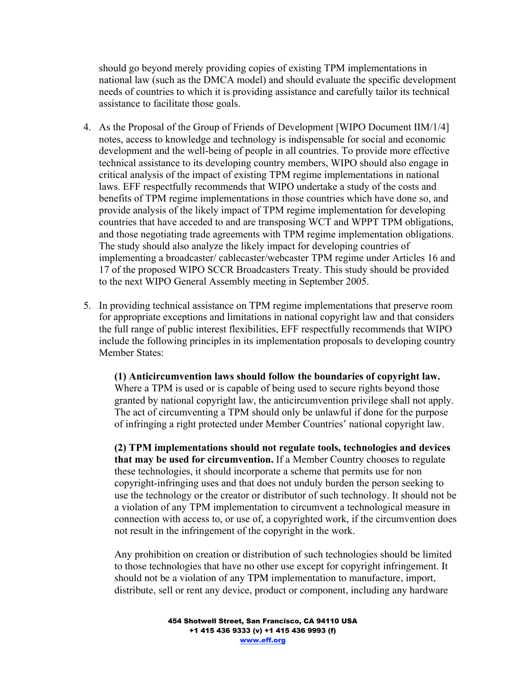should go beyond merely providing copies of existing TPM implementations in national law (such as the DMCA model) and should evaluate the specific development needs of countries to which it is providing assistance and carefully tailor its technical assistance to facilitate those goals.

- 4. As the Proposal of the Group of Friends of Development [WIPO Document IIM/1/4] notes, access to knowledge and technology is indispensable for social and economic development and the well-being of people in all countries. To provide more effective technical assistance to its developing country members, WIPO should also engage in critical analysis of the impact of existing TPM regime implementations in national laws. EFF respectfully recommends that WIPO undertake a study of the costs and benefits of TPM regime implementations in those countries which have done so, and provide analysis of the likely impact of TPM regime implementation for developing countries that have acceded to and are transposing WCT and WPPT TPM obligations, and those negotiating trade agreements with TPM regime implementation obligations. The study should also analyze the likely impact for developing countries of implementing a broadcaster/ cablecaster/webcaster TPM regime under Articles 16 and 17 of the proposed WIPO SCCR Broadcasters Treaty. This study should be provided to the next WIPO General Assembly meeting in September 2005.
- 5. In providing technical assistance on TPM regime implementations that preserve room for appropriate exceptions and limitations in national copyright law and that considers the full range of public interest flexibilities, EFF respectfully recommends that WIPO include the following principles in its implementation proposals to developing country Member States:

**(1) Anticircumvention laws should follow the boundaries of copyright law.** Where a TPM is used or is capable of being used to secure rights beyond those granted by national copyright law, the anticircumvention privilege shall not apply. The act of circumventing a TPM should only be unlawful if done for the purpose of infringing a right protected under Member Countries' national copyright law.

**(2) TPM implementations should not regulate tools, technologies and devices that may be used for circumvention.** If a Member Country chooses to regulate these technologies, it should incorporate a scheme that permits use for non copyright-infringing uses and that does not unduly burden the person seeking to use the technology or the creator or distributor of such technology. It should not be a violation of any TPM implementation to circumvent a technological measure in connection with access to, or use of, a copyrighted work, if the circumvention does not result in the infringement of the copyright in the work.

Any prohibition on creation or distribution of such technologies should be limited to those technologies that have no other use except for copyright infringement. It should not be a violation of any TPM implementation to manufacture, import, distribute, sell or rent any device, product or component, including any hardware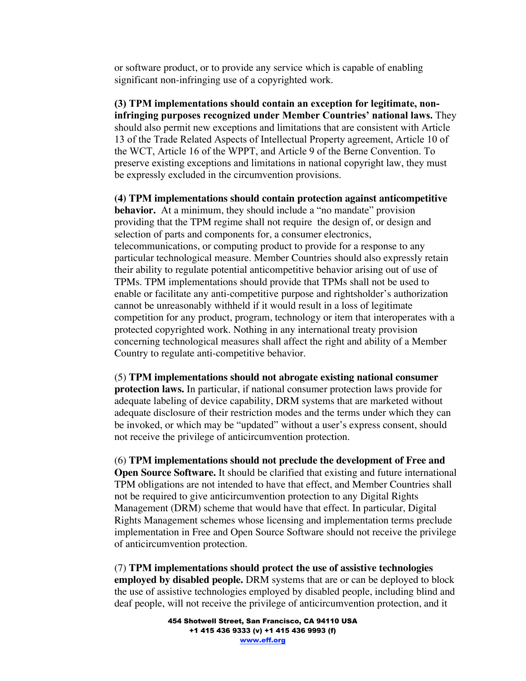or software product, or to provide any service which is capable of enabling significant non-infringing use of a copyrighted work.

**(3) TPM implementations should contain an exception for legitimate, noninfringing purposes recognized under Member Countries' national laws.** They should also permit new exceptions and limitations that are consistent with Article 13 of the Trade Related Aspects of Intellectual Property agreement, Article 10 of the WCT, Article 16 of the WPPT, and Article 9 of the Berne Convention. To preserve existing exceptions and limitations in national copyright law, they must be expressly excluded in the circumvention provisions.

**(4) TPM implementations should contain protection against anticompetitive behavior.** At a minimum, they should include a "no mandate" provision providing that the TPM regime shall not require the design of, or design and selection of parts and components for, a consumer electronics, telecommunications, or computing product to provide for a response to any particular technological measure. Member Countries should also expressly retain their ability to regulate potential anticompetitive behavior arising out of use of TPMs. TPM implementations should provide that TPMs shall not be used to enable or facilitate any anti-competitive purpose and rightsholder's authorization cannot be unreasonably withheld if it would result in a loss of legitimate competition for any product, program, technology or item that interoperates with a protected copyrighted work. Nothing in any international treaty provision concerning technological measures shall affect the right and ability of a Member Country to regulate anti-competitive behavior.

(5) **TPM implementations should not abrogate existing national consumer protection laws.** In particular, if national consumer protection laws provide for adequate labeling of device capability, DRM systems that are marketed without adequate disclosure of their restriction modes and the terms under which they can be invoked, or which may be "updated" without a user's express consent, should not receive the privilege of anticircumvention protection.

(6) **TPM implementations should not preclude the development of Free and Open Source Software.** It should be clarified that existing and future international TPM obligations are not intended to have that effect, and Member Countries shall not be required to give anticircumvention protection to any Digital Rights Management (DRM) scheme that would have that effect. In particular, Digital Rights Management schemes whose licensing and implementation terms preclude implementation in Free and Open Source Software should not receive the privilege of anticircumvention protection.

(7) **TPM implementations should protect the use of assistive technologies employed by disabled people.** DRM systems that are or can be deployed to block the use of assistive technologies employed by disabled people, including blind and deaf people, will not receive the privilege of anticircumvention protection, and it